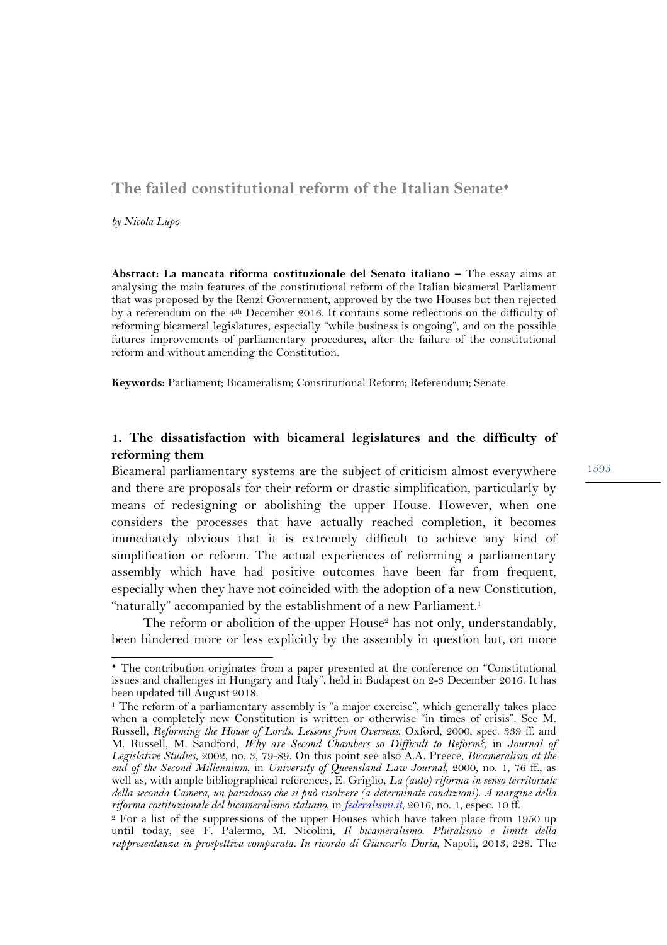# The failed constitutional reform of the Italian Senate<sup>\*</sup>

*by Nicola Lupo*

l

**Abstract: La mancata riforma costituzionale del Senato italiano –** The essay aims at analysing the main features of the constitutional reform of the Italian bicameral Parliament that was proposed by the Renzi Government, approved by the two Houses but then rejected by a referendum on the 4th December 2016. It contains some reflections on the difficulty of reforming bicameral legislatures, especially "while business is ongoing", and on the possible futures improvements of parliamentary procedures, after the failure of the constitutional reform and without amending the Constitution.

**Keywords:** Parliament; Bicameralism; Constitutional Reform; Referendum; Senate.

## **1. The dissatisfaction with bicameral legislatures and the difficulty of reforming them**

Bicameral parliamentary systems are the subject of criticism almost everywhere and there are proposals for their reform or drastic simplification, particularly by means of redesigning or abolishing the upper House. However, when one considers the processes that have actually reached completion, it becomes immediately obvious that it is extremely difficult to achieve any kind of simplification or reform. The actual experiences of reforming a parliamentary assembly which have had positive outcomes have been far from frequent, especially when they have not coincided with the adoption of a new Constitution, "naturally" accompanied by the establishment of a new Parliament.<sup>1</sup>

The reform or abolition of the upper House<sup>2</sup> has not only, understandably, been hindered more or less explicitly by the assembly in question but, on more

<sup>¨</sup> The contribution originates from a paper presented at the conference on "Constitutional issues and challenges in Hungary and Italy", held in Budapest on 2-3 December 2016. It has been updated till August 2018.

<sup>&</sup>lt;sup>1</sup> The reform of a parliamentary assembly is "a major exercise", which generally takes place when a completely new Constitution is written or otherwise "in times of crisis". See M. Russell, *Reforming the House of Lords*. *Lessons from Overseas*, Oxford, 2000, spec. 339 ff. and M. Russell, M. Sandford, *Why are Second Chambers so Difficult to Reform?*, in *Journal of Legislative Studies*, 2002, no. 3, 79-89. On this point see also A.A. Preece, *Bicameralism at the end of the Second Millennium*, in *University of Queensland Law Journal*, 2000, no. 1, 76 ff., as well as, with ample bibliographical references, E. Griglio, *La (auto) riforma in senso territoriale della seconda Camera, un paradosso che si può risolvere (a determinate condizioni). A margine della riforma costituzionale del bicameralismo italiano*, in *federalismi.it*, 2016, no. 1, espec. 10 ff.

<sup>2</sup> For a list of the suppressions of the upper Houses which have taken place from 1950 up until today, see F. Palermo, M. Nicolini, *Il bicameralismo. Pluralismo e limiti della rappresentanza in prospettiva comparata. In ricordo di Giancarlo Doria*, Napoli, 2013, 228. The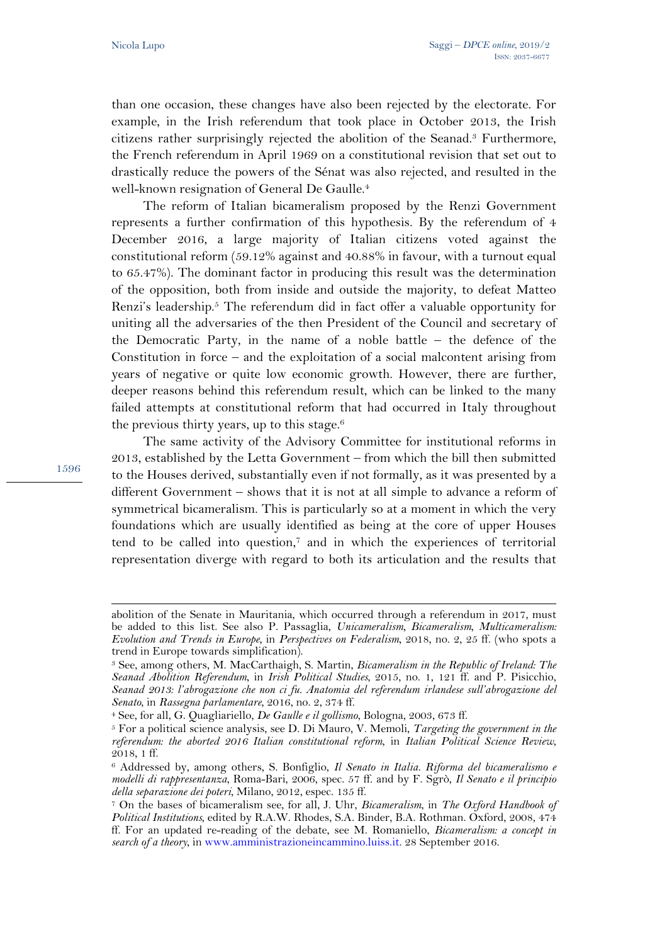than one occasion, these changes have also been rejected by the electorate. For example, in the Irish referendum that took place in October 2013, the Irish citizens rather surprisingly rejected the abolition of the Seanad.3 Furthermore, the French referendum in April 1969 on a constitutional revision that set out to drastically reduce the powers of the Sénat was also rejected, and resulted in the well-known resignation of General De Gaulle.<sup>4</sup>

The reform of Italian bicameralism proposed by the Renzi Government represents a further confirmation of this hypothesis. By the referendum of 4 December 2016, a large majority of Italian citizens voted against the constitutional reform (59.12% against and 40.88% in favour, with a turnout equal to 65.47%). The dominant factor in producing this result was the determination of the opposition, both from inside and outside the majority, to defeat Matteo Renzi's leadership.<sup>5</sup> The referendum did in fact offer a valuable opportunity for uniting all the adversaries of the then President of the Council and secretary of the Democratic Party, in the name of a noble battle – the defence of the Constitution in force – and the exploitation of a social malcontent arising from years of negative or quite low economic growth. However, there are further, deeper reasons behind this referendum result, which can be linked to the many failed attempts at constitutional reform that had occurred in Italy throughout the previous thirty years, up to this stage. $6$ 

1596

l

The same activity of the Advisory Committee for institutional reforms in 2013, established by the Letta Government – from which the bill then submitted to the Houses derived, substantially even if not formally, as it was presented by a different Government – shows that it is not at all simple to advance a reform of symmetrical bicameralism. This is particularly so at a moment in which the very foundations which are usually identified as being at the core of upper Houses tend to be called into question,7 and in which the experiences of territorial representation diverge with regard to both its articulation and the results that

abolition of the Senate in Mauritania, which occurred through a referendum in 2017, must be added to this list. See also P. Passaglia, *Unicameralism, Bicameralism, Multicameralism: Evolution and Trends in Europe*, in *Perspectives on Federalism*, 2018, no. 2, 25 ff. (who spots a trend in Europe towards simplification).

<sup>3</sup> See, among others, M. MacCarthaigh, S. Martin, *Bicameralism in the Republic of Ireland: The Seanad Abolition Referendum*, in *Irish Political Studies*, 2015, no. 1, 121 ff. and P. Pisicchio, *Seanad 2013: l'abrogazione che non ci fu. Anatomia del referendum irlandese sull'abrogazione del Senato*, in *Rassegna parlamentare*, 2016, no. 2, 374 ff.

<sup>4</sup> See, for all, G. Quagliariello, *De Gaulle e il gollismo*, Bologna, 2003, 673 ff.

<sup>5</sup> For a political science analysis, see D. Di Mauro, V. Memoli, *Targeting the government in the referendum: the aborted 2016 Italian constitutional reform*, in *Italian Political Science Review*, 2018, 1 ff.

<sup>6</sup> Addressed by, among others, S. Bonfiglio, *Il Senato in Italia. Riforma del bicameralismo e modelli di rappresentanza*, Roma-Bari, 2006, spec. 57 ff. and by F. Sgrò, *Il Senato e il principio della separazione dei poteri*, Milano, 2012, espec. 135 ff.

<sup>7</sup> On the bases of bicameralism see, for all, J. Uhr, *Bicameralism*, in *The Oxford Handbook of Political Institutions*, edited by R.A.W. Rhodes, S.A. Binder, B.A. Rothman. Oxford, 2008, 474 ff. For an updated re-reading of the debate, see M. Romaniello, *Bicameralism: a concept in search of a theory*, in www.amministrazioneincammino.luiss.it. 28 September 2016.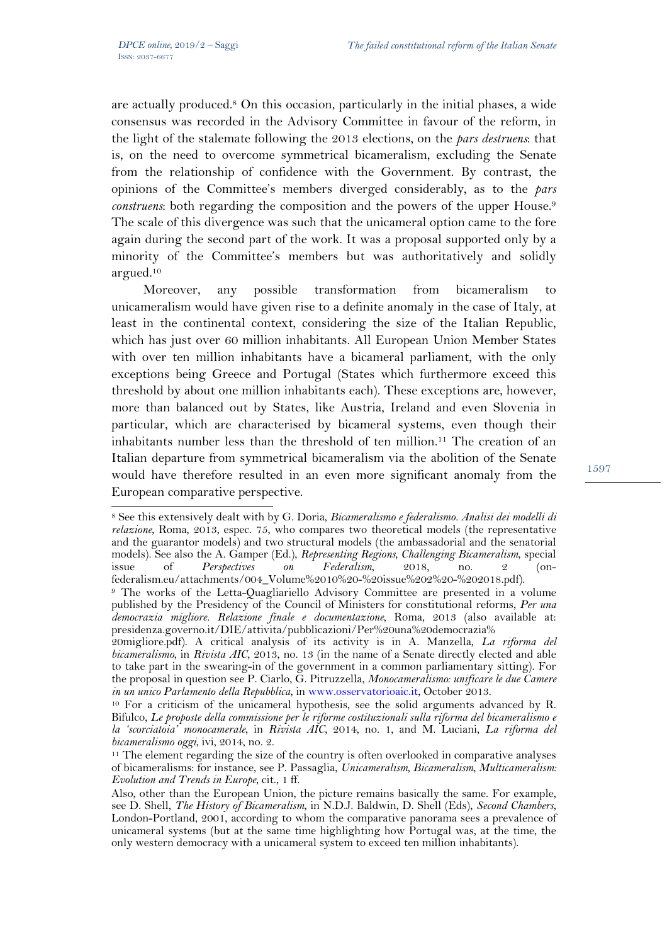l

are actually produced.8 On this occasion, particularly in the initial phases, a wide consensus was recorded in the Advisory Committee in favour of the reform, in the light of the stalemate following the 2013 elections, on the *pars destruens*: that is, on the need to overcome symmetrical bicameralism, excluding the Senate from the relationship of confidence with the Government. By contrast, the opinions of the Committee's members diverged considerably, as to the *pars construens*: both regarding the composition and the powers of the upper House.<sup>9</sup> The scale of this divergence was such that the unicameral option came to the fore again during the second part of the work. It was a proposal supported only by a minority of the Committee's members but was authoritatively and solidly argued.10

Moreover, any possible transformation from bicameralism to unicameralism would have given rise to a definite anomaly in the case of Italy, at least in the continental context, considering the size of the Italian Republic, which has just over 60 million inhabitants. All European Union Member States with over ten million inhabitants have a bicameral parliament, with the only exceptions being Greece and Portugal (States which furthermore exceed this threshold by about one million inhabitants each). These exceptions are, however, more than balanced out by States, like Austria, Ireland and even Slovenia in particular, which are characterised by bicameral systems, even though their inhabitants number less than the threshold of ten million.11 The creation of an Italian departure from symmetrical bicameralism via the abolition of the Senate would have therefore resulted in an even more significant anomaly from the European comparative perspective.

<sup>8</sup> See this extensively dealt with by G. Doria, *Bicameralismo e federalismo. Analisi dei modelli di relazione*, Roma, 2013, espec. 75, who compares two theoretical models (the representative and the guarantor models) and two structural models (the ambassadorial and the senatorial models). See also the A. Gamper (Ed.), *Representing Regions, Challenging Bicameralism*, special issue of *Perspectives on Federalism*, 2018, no. 2 (onfederalism.eu/attachments/004\_Volume%2010%20-%20issue%202%20-%202018.pdf).

<sup>9</sup> The works of the Letta-Quagliariello Advisory Committee are presented in a volume published by the Presidency of the Council of Ministers for constitutional reforms, *Per una democrazia migliore. Relazione finale e documentazione*, Roma, 2013 (also available at: presidenza.governo.it/DIE/attivita/pubblicazioni/Per%20una%20democrazia%

<sup>20</sup>migliore.pdf). A critical analysis of its activity is in A. Manzella, *La riforma del bicameralismo*, in *Rivista AIC*, 2013, no. 13 (in the name of a Senate directly elected and able to take part in the swearing-in of the government in a common parliamentary sitting). For the proposal in question see P. Ciarlo, G. Pitruzzella, *Monocameralismo: unificare le due Camere in un unico Parlamento della Repubblica*, in www.osservatorioaic.it, October 2013. 10 For a criticism of the unicameral hypothesis, see the solid arguments advanced by R.

Bifulco, *Le proposte della commissione per le riforme costituzionali sulla riforma del bicameralismo e la 'scorciatoia' monocamerale*, in *Rivista AIC*, 2014, no. 1, and M. Luciani, *La riforma del bicameralismo oggi*, ivi, 2014, no. 2.

<sup>&</sup>lt;sup>11</sup> The element regarding the size of the country is often overlooked in comparative analyses of bicameralisms: for instance, see P. Passaglia, *Unicameralism, Bicameralism, Multicameralism: Evolution and Trends in Europe*, cit., 1 ff.

Also, other than the European Union, the picture remains basically the same. For example, see D. Shell, *The History of Bicameralism*, in N.D.J. Baldwin, D. Shell (Eds), *Second Chambers*, London-Portland, 2001, according to whom the comparative panorama sees a prevalence of unicameral systems (but at the same time highlighting how Portugal was, at the time, the only western democracy with a unicameral system to exceed ten million inhabitants).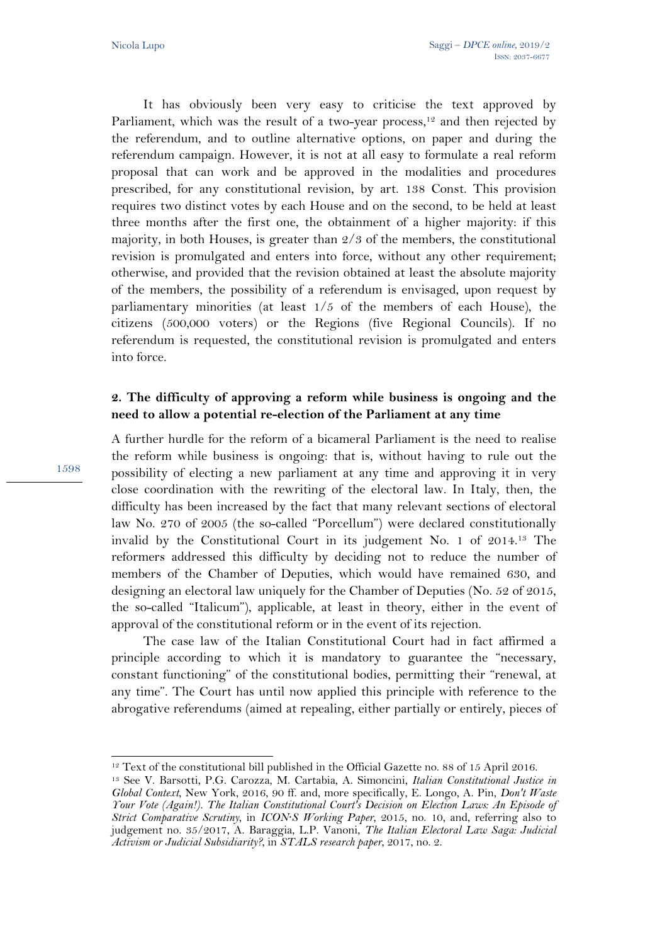It has obviously been very easy to criticise the text approved by Parliament, which was the result of a two-year process,<sup>12</sup> and then rejected by the referendum, and to outline alternative options, on paper and during the referendum campaign. However, it is not at all easy to formulate a real reform proposal that can work and be approved in the modalities and procedures prescribed, for any constitutional revision, by art. 138 Const. This provision requires two distinct votes by each House and on the second, to be held at least three months after the first one, the obtainment of a higher majority: if this majority, in both Houses, is greater than 2/3 of the members, the constitutional revision is promulgated and enters into force, without any other requirement; otherwise, and provided that the revision obtained at least the absolute majority of the members, the possibility of a referendum is envisaged, upon request by parliamentary minorities (at least 1/5 of the members of each House), the citizens (500,000 voters) or the Regions (five Regional Councils). If no referendum is requested, the constitutional revision is promulgated and enters into force.

## **2. The difficulty of approving a reform while business is ongoing and the need to allow a potential re-election of the Parliament at any time**

A further hurdle for the reform of a bicameral Parliament is the need to realise the reform while business is ongoing: that is, without having to rule out the possibility of electing a new parliament at any time and approving it in very close coordination with the rewriting of the electoral law. In Italy, then, the difficulty has been increased by the fact that many relevant sections of electoral law No. 270 of 2005 (the so-called "Porcellum") were declared constitutionally invalid by the Constitutional Court in its judgement No. 1 of 2014.13 The reformers addressed this difficulty by deciding not to reduce the number of members of the Chamber of Deputies, which would have remained 630, and designing an electoral law uniquely for the Chamber of Deputies (No. 52 of 2015, the so-called "Italicum"), applicable, at least in theory, either in the event of approval of the constitutional reform or in the event of its rejection.

The case law of the Italian Constitutional Court had in fact affirmed a principle according to which it is mandatory to guarantee the "necessary, constant functioning" of the constitutional bodies, permitting their "renewal, at any time". The Court has until now applied this principle with reference to the abrogative referendums (aimed at repealing, either partially or entirely, pieces of

 $\overline{a}$ <sup>12</sup> Text of the constitutional bill published in the Official Gazette no. 88 of 15 April 2016.

<sup>13</sup> See V. Barsotti, P.G. Carozza, M. Cartabia, A. Simoncini, *Italian Constitutional Justice in Global Context*, New York, 2016, 90 ff. and, more specifically, E. Longo, A. Pin, *Don't Waste Your Vote (Again!). The Italian Constitutional Court's Decision on Election Laws: An Episode of Strict Comparative Scrutiny*, in *ICON·S Working Paper*, 2015, no. 10, and, referring also to judgement no. 35/2017, A. Baraggia, L.P. Vanoni, *The Italian Electoral Law Saga: Judicial Activism or Judicial Subsidiarity?*, in *STALS research paper*, 2017, no. 2.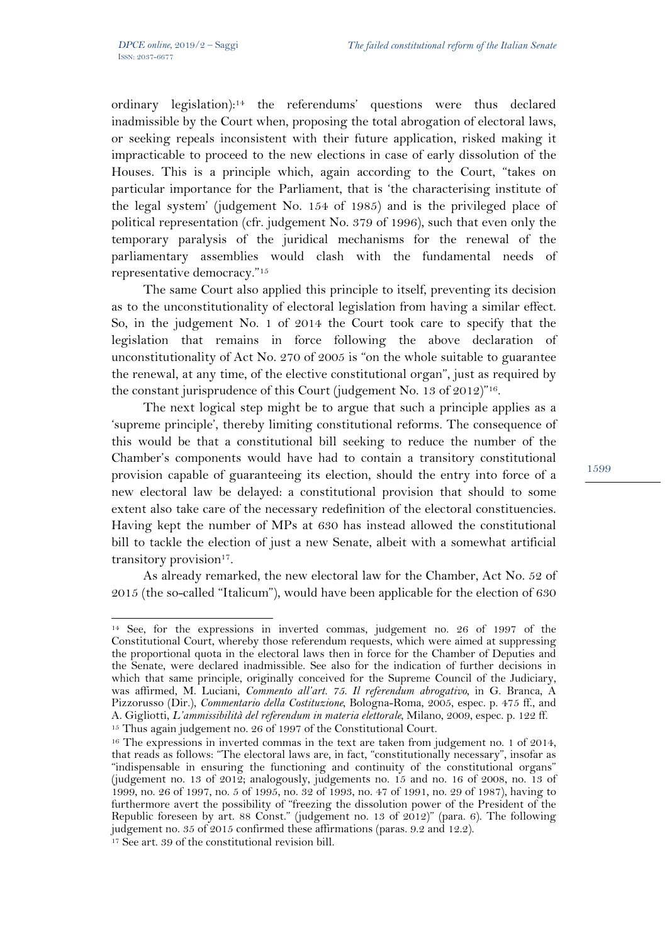ordinary legislation):14 the referendums' questions were thus declared inadmissible by the Court when, proposing the total abrogation of electoral laws, or seeking repeals inconsistent with their future application, risked making it impracticable to proceed to the new elections in case of early dissolution of the Houses. This is a principle which, again according to the Court, "takes on particular importance for the Parliament, that is 'the characterising institute of the legal system' (judgement No. 154 of 1985) and is the privileged place of political representation (cfr. judgement No. 379 of 1996), such that even only the temporary paralysis of the juridical mechanisms for the renewal of the parliamentary assemblies would clash with the fundamental needs of representative democracy."15

The same Court also applied this principle to itself, preventing its decision as to the unconstitutionality of electoral legislation from having a similar effect. So, in the judgement No. 1 of 2014 the Court took care to specify that the legislation that remains in force following the above declaration of unconstitutionality of Act No. 270 of 2005 is "on the whole suitable to guarantee the renewal, at any time, of the elective constitutional organ", just as required by the constant jurisprudence of this Court (judgement No. 13 of 2012)"16.

The next logical step might be to argue that such a principle applies as a 'supreme principle', thereby limiting constitutional reforms. The consequence of this would be that a constitutional bill seeking to reduce the number of the Chamber's components would have had to contain a transitory constitutional provision capable of guaranteeing its election, should the entry into force of a new electoral law be delayed: a constitutional provision that should to some extent also take care of the necessary redefinition of the electoral constituencies. Having kept the number of MPs at 630 has instead allowed the constitutional bill to tackle the election of just a new Senate, albeit with a somewhat artificial transitory provision<sup>17</sup>.

As already remarked, the new electoral law for the Chamber, Act No. 52 of 2015 (the so-called "Italicum"), would have been applicable for the election of 630

 $\overline{a}$ <sup>14</sup> See, for the expressions in inverted commas, judgement no. 26 of 1997 of the Constitutional Court, whereby those referendum requests, which were aimed at suppressing the proportional quota in the electoral laws then in force for the Chamber of Deputies and the Senate, were declared inadmissible. See also for the indication of further decisions in which that same principle, originally conceived for the Supreme Council of the Judiciary, was affirmed, M. Luciani, *Commento all'art. 75. Il referendum abrogativo*, in G. Branca, A Pizzorusso (Dir.), *Commentario della Costituzione*, Bologna-Roma, 2005, espec. p. 475 ff., and A. Gigliotti, *L'ammissibilità del referendum in materia elettorale*, Milano, 2009, espec. p. 122 ff. 15 Thus again judgement no. 26 of 1997 of the Constitutional Court.

<sup>&</sup>lt;sup>16</sup> The expressions in inverted commas in the text are taken from judgement no. 1 of 2014, that reads as follows: "The electoral laws are, in fact, "constitutionally necessary", insofar as "indispensable in ensuring the functioning and continuity of the constitutional organs" (judgement no. 13 of 2012; analogously, judgements no. 15 and no. 16 of 2008, no. 13 of 1999, no. 26 of 1997, no. 5 of 1995, no. 32 of 1993, no. 47 of 1991, no. 29 of 1987), having to furthermore avert the possibility of "freezing the dissolution power of the President of the Republic foreseen by art. 88 Const." (judgement no. 13 of 2012)" (para. 6). The following judgement no. 35 of 2015 confirmed these affirmations (paras. 9.2 and 12.2). <sup>17</sup> See art. 39 of the constitutional revision bill.

<sup>1599</sup>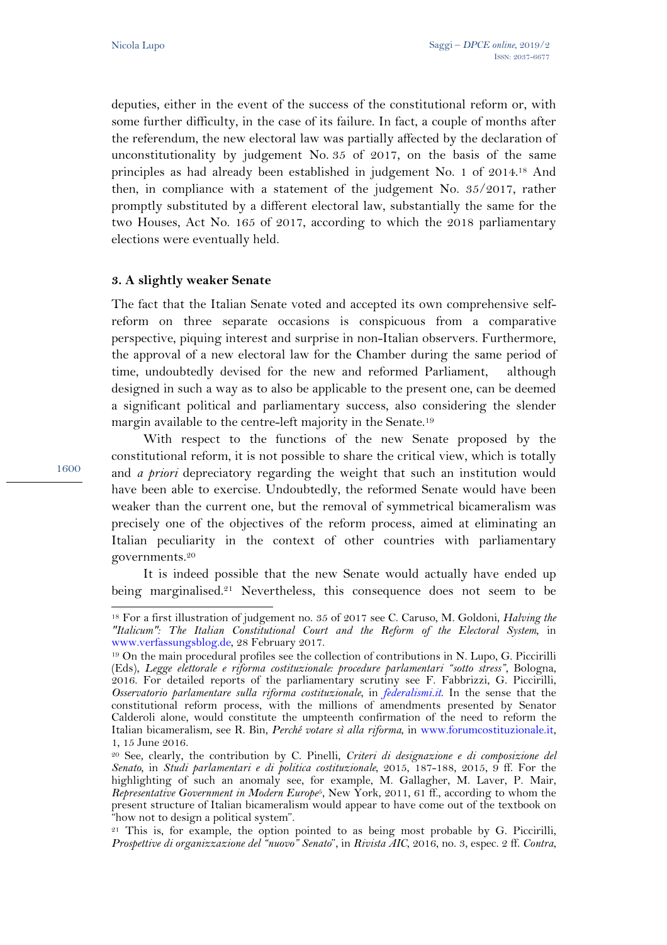deputies, either in the event of the success of the constitutional reform or, with some further difficulty, in the case of its failure. In fact, a couple of months after the referendum, the new electoral law was partially affected by the declaration of unconstitutionality by judgement No. 35 of 2017, on the basis of the same principles as had already been established in judgement No. 1 of 2014.18 And then, in compliance with a statement of the judgement No. 35/2017, rather promptly substituted by a different electoral law, substantially the same for the two Houses, Act No. 165 of 2017, according to which the 2018 parliamentary elections were eventually held.

### **3. A slightly weaker Senate**

The fact that the Italian Senate voted and accepted its own comprehensive selfreform on three separate occasions is conspicuous from a comparative perspective, piquing interest and surprise in non-Italian observers. Furthermore, the approval of a new electoral law for the Chamber during the same period of time, undoubtedly devised for the new and reformed Parliament, although designed in such a way as to also be applicable to the present one, can be deemed a significant political and parliamentary success, also considering the slender margin available to the centre-left majority in the Senate.19

With respect to the functions of the new Senate proposed by the constitutional reform, it is not possible to share the critical view, which is totally and *a priori* depreciatory regarding the weight that such an institution would have been able to exercise. Undoubtedly, the reformed Senate would have been weaker than the current one, but the removal of symmetrical bicameralism was precisely one of the objectives of the reform process, aimed at eliminating an Italian peculiarity in the context of other countries with parliamentary governments.20

It is indeed possible that the new Senate would actually have ended up being marginalised.<sup>21</sup> Nevertheless, this consequence does not seem to be

1600

 $\overline{a}$ 

<sup>18</sup> For a first illustration of judgement no. 35 of 2017 see C. Caruso, M. Goldoni, *Halving the "Italicum": The Italian Constitutional Court and the Reform of the Electoral System*, in www.verfassungsblog.de, 28 February 2017.

<sup>19</sup> On the main procedural profiles see the collection of contributions in N. Lupo, G. Piccirilli (Eds), *Legge elettorale e riforma costituzionale: procedure parlamentari "sotto stress"*, Bologna, 2016. For detailed reports of the parliamentary scrutiny see F. Fabbrizzi, G. Piccirilli, *Osservatorio parlamentare sulla riforma costituzionale*, in *federalismi.it*. In the sense that the constitutional reform process, with the millions of amendments presented by Senator Calderoli alone, would constitute the umpteenth confirmation of the need to reform the Italian bicameralism, see R. Bin, *Perché votare sì alla riforma*, in www.forumcostituzionale.it, 1, 15 June 2016.

<sup>20</sup> See, clearly, the contribution by C. Pinelli, *Criteri di designazione e di composizione del Senato*, in *Studi parlamentari e di politica costituzionale*, 2015, 187-188, 2015, 9 ff. For the highlighting of such an anomaly see, for example, M. Gallagher, M. Laver, P. Mair, *Representative Government in Modern Europe*5, New York, 2011, 61 ff., according to whom the present structure of Italian bicameralism would appear to have come out of the textbook on "how not to design a political system".

<sup>&</sup>lt;sup>21</sup> This is, for example, the option pointed to as being most probable by G. Piccirilli, *Prospettive di organizzazione del "nuovo" Senato*", in *Rivista AIC*, 2016, no. 3, espec. 2 ff. *Contra*,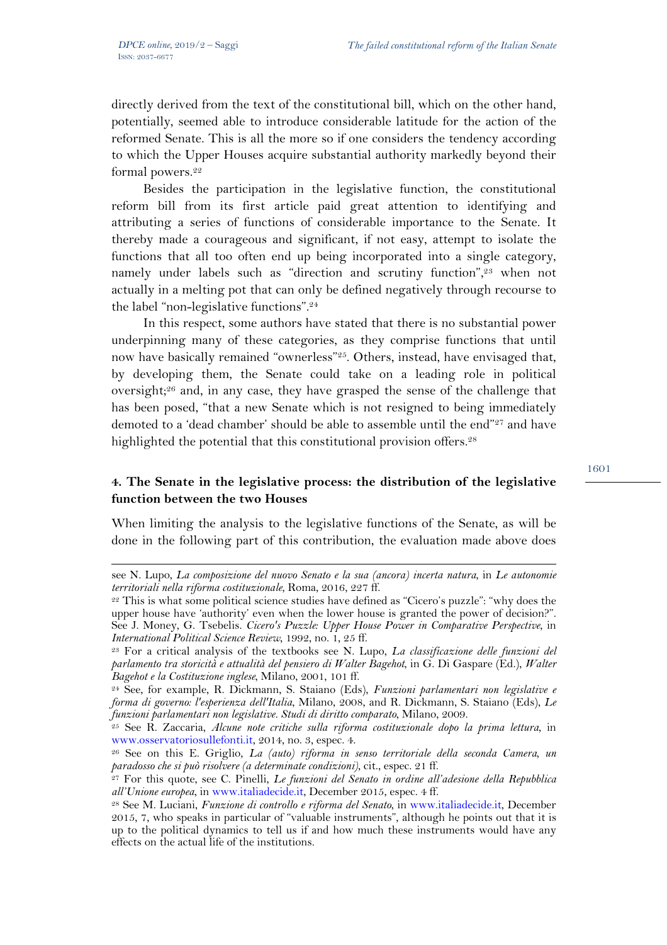$\overline{a}$ 

directly derived from the text of the constitutional bill, which on the other hand, potentially, seemed able to introduce considerable latitude for the action of the reformed Senate. This is all the more so if one considers the tendency according to which the Upper Houses acquire substantial authority markedly beyond their formal powers.<sup>22</sup>

Besides the participation in the legislative function, the constitutional reform bill from its first article paid great attention to identifying and attributing a series of functions of considerable importance to the Senate. It thereby made a courageous and significant, if not easy, attempt to isolate the functions that all too often end up being incorporated into a single category, namely under labels such as "direction and scrutiny function",<sup>23</sup> when not actually in a melting pot that can only be defined negatively through recourse to the label "non-legislative functions".24

In this respect, some authors have stated that there is no substantial power underpinning many of these categories, as they comprise functions that until now have basically remained "ownerless"<sup>25</sup>. Others, instead, have envisaged that, by developing them, the Senate could take on a leading role in political oversight;26 and, in any case, they have grasped the sense of the challenge that has been posed, "that a new Senate which is not resigned to being immediately demoted to a 'dead chamber' should be able to assemble until the end"27 and have highlighted the potential that this constitutional provision offers.<sup>28</sup>

# **4. The Senate in the legislative process: the distribution of the legislative function between the two Houses**

When limiting the analysis to the legislative functions of the Senate, as will be done in the following part of this contribution, the evaluation made above does

see N. Lupo, *La composizione del nuovo Senato e la sua (ancora) incerta natura*, in *Le autonomie territoriali nella riforma costituzionale*, Roma, 2016, 227 ff.

<sup>&</sup>lt;sup>22</sup> This is what some political science studies have defined as "Cicero's puzzle": "why does the upper house have 'authority' even when the lower house is granted the power of decision?". See J. Money, G. Tsebelis. *Cicero's Puzzle: Upper House Power in Comparative Perspective*, in *International Political Science Review*, 1992, no. 1, 25 ff.

<sup>23</sup> For a critical analysis of the textbooks see N. Lupo, *La classificazione delle funzioni del parlamento tra storicità e attualità del pensiero di Walter Bagehot*, in G. Di Gaspare (Ed.), *Walter Bagehot e la Costituzione inglese*, Milano, 2001, 101 ff.

<sup>24</sup> See, for example, R. Dickmann, S. Staiano (Eds), *Funzioni parlamentari non legislative e forma di governo: l'esperienza dell'Italia*, Milano, 2008, and R. Dickmann, S. Staiano (Eds), *Le funzioni parlamentari non legislative. Studi di diritto comparato*, Milano, 2009.

<sup>25</sup> See R. Zaccaria, *Alcune note critiche sulla riforma costituzionale dopo la prima lettura*, in www.osservatoriosullefonti.it, 2014, no. 3, espec. 4.

<sup>26</sup> See on this E. Griglio, *La (auto) riforma in senso territoriale della seconda Camera, un paradosso che si può risolvere (a determinate condizioni)*, cit., espec. 21 ff.

<sup>27</sup> For this quote, see C. Pinelli, *Le funzioni del Senato in ordine all'adesione della Repubblica all'Unione europea*, in www.italiadecide.it, December 2015, espec. 4 ff.

<sup>28</sup> See M. Luciani, *Funzione di controllo e riforma del Senato*, in www.italiadecide.it, December 2015, 7, who speaks in particular of "valuable instruments", although he points out that it is up to the political dynamics to tell us if and how much these instruments would have any effects on the actual life of the institutions.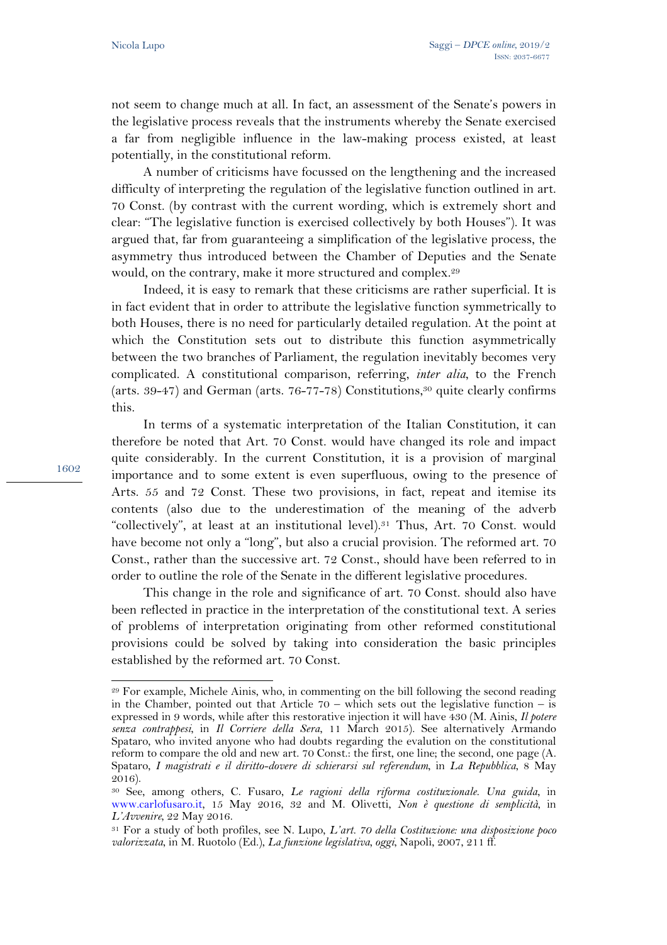not seem to change much at all. In fact, an assessment of the Senate's powers in the legislative process reveals that the instruments whereby the Senate exercised a far from negligible influence in the law-making process existed, at least potentially, in the constitutional reform.

A number of criticisms have focussed on the lengthening and the increased difficulty of interpreting the regulation of the legislative function outlined in art. 70 Const. (by contrast with the current wording, which is extremely short and clear: "The legislative function is exercised collectively by both Houses"). It was argued that, far from guaranteeing a simplification of the legislative process, the asymmetry thus introduced between the Chamber of Deputies and the Senate would, on the contrary, make it more structured and complex.29

Indeed, it is easy to remark that these criticisms are rather superficial. It is in fact evident that in order to attribute the legislative function symmetrically to both Houses, there is no need for particularly detailed regulation. At the point at which the Constitution sets out to distribute this function asymmetrically between the two branches of Parliament, the regulation inevitably becomes very complicated. A constitutional comparison, referring, *inter alia*, to the French (arts.  $39-47$ ) and German (arts.  $76-77-78$ ) Constitutions,<sup>30</sup> quite clearly confirms this.

In terms of a systematic interpretation of the Italian Constitution, it can therefore be noted that Art. 70 Const. would have changed its role and impact quite considerably. In the current Constitution, it is a provision of marginal importance and to some extent is even superfluous, owing to the presence of Arts. 55 and 72 Const. These two provisions, in fact, repeat and itemise its contents (also due to the underestimation of the meaning of the adverb "collectively", at least at an institutional level).31 Thus, Art. 70 Const. would have become not only a "long", but also a crucial provision. The reformed art. 70 Const., rather than the successive art. 72 Const., should have been referred to in order to outline the role of the Senate in the different legislative procedures.

This change in the role and significance of art. 70 Const. should also have been reflected in practice in the interpretation of the constitutional text. A series of problems of interpretation originating from other reformed constitutional provisions could be solved by taking into consideration the basic principles established by the reformed art. 70 Const.

 $\overline{a}$ <sup>29</sup> For example, Michele Ainis, who, in commenting on the bill following the second reading in the Chamber, pointed out that Article  $70 -$  which sets out the legislative function – is expressed in 9 words, while after this restorative injection it will have 430 (M. Ainis, *Il potere senza contrappesi*, in *Il Corriere della Sera*, 11 March 2015). See alternatively Armando Spataro, who invited anyone who had doubts regarding the evalution on the constitutional reform to compare the old and new art. 70 Const.: the first, one line; the second, one page (A. Spataro, *I magistrati e il diritto-dovere di schierarsi sul referendum*, in *La Repubblica*, 8 May  $2016$ ).

<sup>30</sup> See, among others, C. Fusaro, *Le ragioni della riforma costituzionale. Una guida*, in www.carlofusaro.it, 15 May 2016, 32 and M. Olivetti, *Non è questione di semplicità*, in *L'Avvenire*, 22 May 2016.

<sup>31</sup> For a study of both profiles, see N. Lupo, *L'art. 70 della Costituzione: una disposizione poco valorizzata*, in M. Ruotolo (Ed.), *La funzione legislativa, oggi*, Napoli, 2007, 211 ff.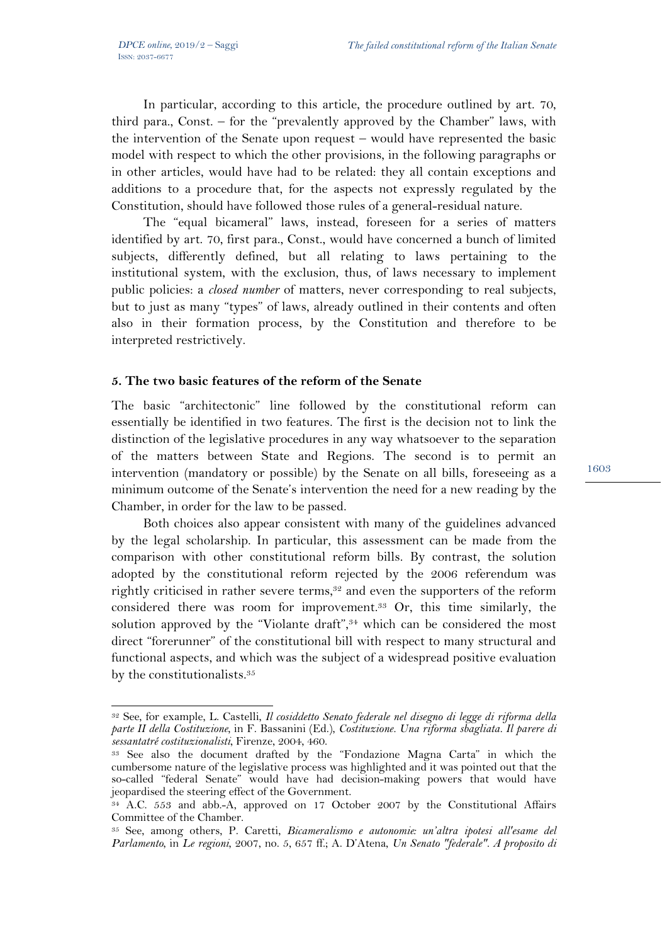$\overline{a}$ 

In particular, according to this article, the procedure outlined by art. 70, third para., Const. – for the "prevalently approved by the Chamber" laws, with the intervention of the Senate upon request – would have represented the basic model with respect to which the other provisions, in the following paragraphs or in other articles, would have had to be related: they all contain exceptions and additions to a procedure that, for the aspects not expressly regulated by the Constitution, should have followed those rules of a general-residual nature.

The "equal bicameral" laws, instead, foreseen for a series of matters identified by art. 70, first para., Const., would have concerned a bunch of limited subjects, differently defined, but all relating to laws pertaining to the institutional system, with the exclusion, thus, of laws necessary to implement public policies: a *closed number* of matters, never corresponding to real subjects, but to just as many "types" of laws, already outlined in their contents and often also in their formation process, by the Constitution and therefore to be interpreted restrictively.

### **5. The two basic features of the reform of the Senate**

The basic "architectonic" line followed by the constitutional reform can essentially be identified in two features. The first is the decision not to link the distinction of the legislative procedures in any way whatsoever to the separation of the matters between State and Regions. The second is to permit an intervention (mandatory or possible) by the Senate on all bills, foreseeing as a minimum outcome of the Senate's intervention the need for a new reading by the Chamber, in order for the law to be passed.

Both choices also appear consistent with many of the guidelines advanced by the legal scholarship. In particular, this assessment can be made from the comparison with other constitutional reform bills. By contrast, the solution adopted by the constitutional reform rejected by the 2006 referendum was rightly criticised in rather severe terms, $32$  and even the supporters of the reform considered there was room for improvement.33 Or, this time similarly, the solution approved by the "Violante draft", $34$  which can be considered the most direct "forerunner" of the constitutional bill with respect to many structural and functional aspects, and which was the subject of a widespread positive evaluation by the constitutionalists.35

<sup>32</sup> See, for example, L. Castelli, *Il cosiddetto Senato federale nel disegno di legge di riforma della parte II della Costituzione*, in F. Bassanini (Ed.), *Costituzione. Una riforma sbagliata. Il parere di sessantatré costituzionalisti*, Firenze, 2004, 460.

<sup>33</sup> See also the document drafted by the "Fondazione Magna Carta" in which the cumbersome nature of the legislative process was highlighted and it was pointed out that the so-called "federal Senate" would have had decision-making powers that would have jeopardised the steering effect of the Government.

<sup>34</sup> A.C. 553 and abb.-A, approved on 17 October 2007 by the Constitutional Affairs Committee of the Chamber.

<sup>35</sup> See, among others, P. Caretti, *Bicameralismo e autonomie: un'altra ipotesi all'esame del Parlamento*, in *Le regioni*, 2007, no. 5, 657 ff.; A. D'Atena, *Un Senato "federale". A proposito di*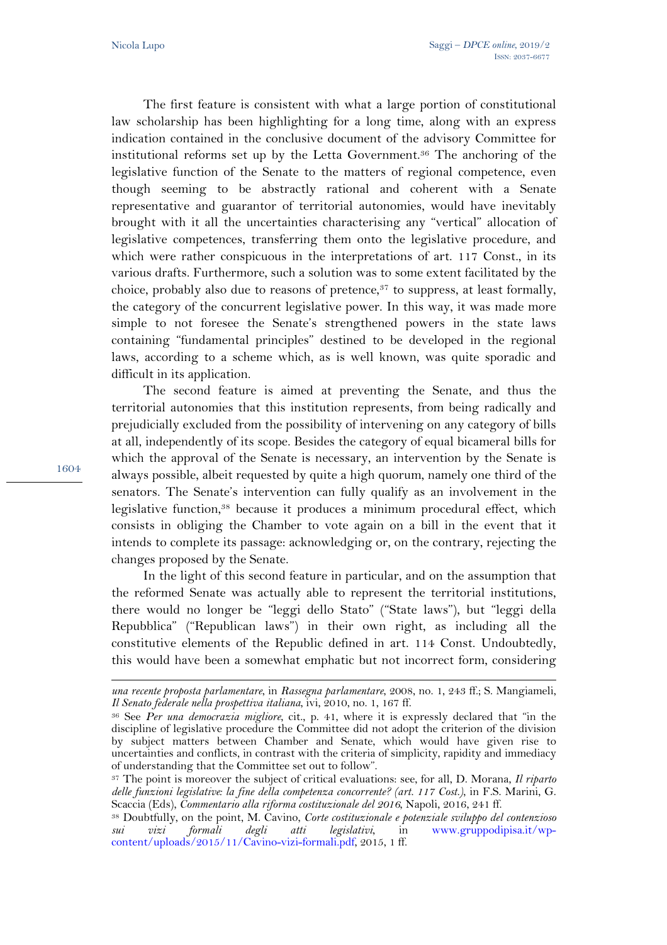The first feature is consistent with what a large portion of constitutional law scholarship has been highlighting for a long time, along with an express indication contained in the conclusive document of the advisory Committee for institutional reforms set up by the Letta Government.36 The anchoring of the legislative function of the Senate to the matters of regional competence, even though seeming to be abstractly rational and coherent with a Senate representative and guarantor of territorial autonomies, would have inevitably brought with it all the uncertainties characterising any "vertical" allocation of legislative competences, transferring them onto the legislative procedure, and which were rather conspicuous in the interpretations of art. 117 Const., in its various drafts. Furthermore, such a solution was to some extent facilitated by the choice, probably also due to reasons of pretence, $37$  to suppress, at least formally, the category of the concurrent legislative power. In this way, it was made more simple to not foresee the Senate's strengthened powers in the state laws containing "fundamental principles" destined to be developed in the regional laws, according to a scheme which, as is well known, was quite sporadic and difficult in its application.

The second feature is aimed at preventing the Senate, and thus the territorial autonomies that this institution represents, from being radically and prejudicially excluded from the possibility of intervening on any category of bills at all, independently of its scope. Besides the category of equal bicameral bills for which the approval of the Senate is necessary, an intervention by the Senate is always possible, albeit requested by quite a high quorum, namely one third of the senators. The Senate's intervention can fully qualify as an involvement in the legislative function,<sup>38</sup> because it produces a minimum procedural effect, which consists in obliging the Chamber to vote again on a bill in the event that it intends to complete its passage: acknowledging or, on the contrary, rejecting the changes proposed by the Senate.

In the light of this second feature in particular, and on the assumption that the reformed Senate was actually able to represent the territorial institutions, there would no longer be "leggi dello Stato" ("State laws"), but "leggi della Repubblica" ("Republican laws") in their own right, as including all the constitutive elements of the Republic defined in art. 114 Const. Undoubtedly, this would have been a somewhat emphatic but not incorrect form, considering

1604

 $\overline{a}$ 

*una recente proposta parlamentare*, in *Rassegna parlamentare*, 2008, no. 1, 243 ff.; S. Mangiameli, *Il Senato federale nella prospettiva italiana*, ivi, 2010, no. 1, 167 ff.

<sup>36</sup> See *Per una democrazia migliore*, cit., p. 41, where it is expressly declared that "in the discipline of legislative procedure the Committee did not adopt the criterion of the division by subject matters between Chamber and Senate, which would have given rise to uncertainties and conflicts, in contrast with the criteria of simplicity, rapidity and immediacy of understanding that the Committee set out to follow".

<sup>37</sup> The point is moreover the subject of critical evaluations: see, for all, D. Morana, *Il riparto delle funzioni legislative: la fine della competenza concorrente? (art. 117 Cost.)*, in F.S. Marini, G. Scaccia (Eds), *Commentario alla riforma costituzionale del 2016*, Napoli, 2016, 241 ff.

<sup>38</sup> Doubtfully, on the point, M. Cavino, *Corte costituzionale e potenziale sviluppo del contenzioso sui vizi formali degli atti legislativi*, in www.gruppodipisa.it/wpcontent/uploads/2015/11/Cavino-vizi-formali.pdf, 2015, 1 ff.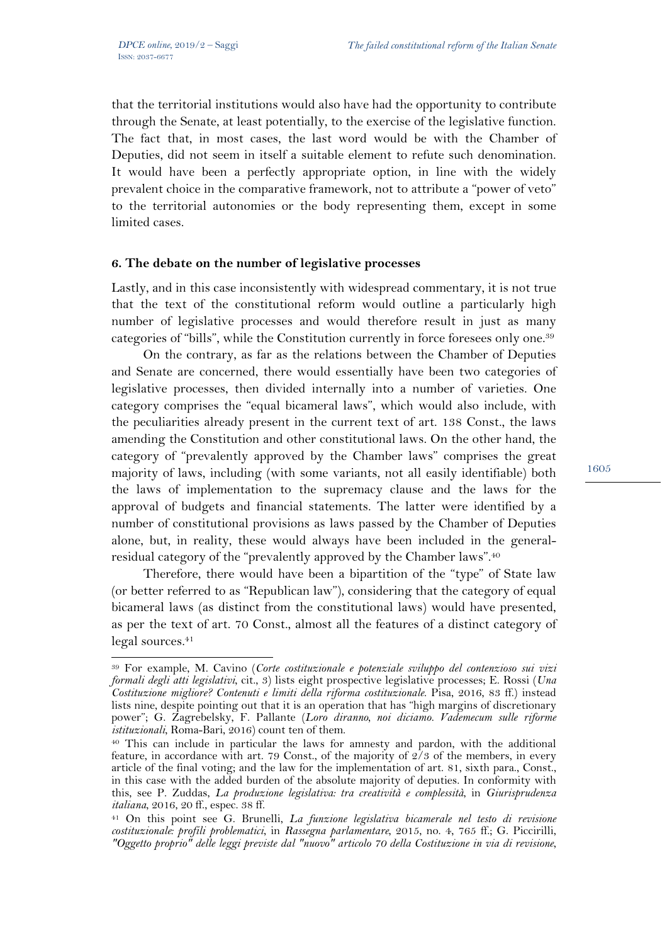l

that the territorial institutions would also have had the opportunity to contribute through the Senate, at least potentially, to the exercise of the legislative function. The fact that, in most cases, the last word would be with the Chamber of Deputies, did not seem in itself a suitable element to refute such denomination. It would have been a perfectly appropriate option, in line with the widely prevalent choice in the comparative framework, not to attribute a "power of veto" to the territorial autonomies or the body representing them, except in some limited cases.

### **6. The debate on the number of legislative processes**

Lastly, and in this case inconsistently with widespread commentary, it is not true that the text of the constitutional reform would outline a particularly high number of legislative processes and would therefore result in just as many categories of "bills", while the Constitution currently in force foresees only one.39

On the contrary, as far as the relations between the Chamber of Deputies and Senate are concerned, there would essentially have been two categories of legislative processes, then divided internally into a number of varieties. One category comprises the "equal bicameral laws", which would also include, with the peculiarities already present in the current text of art. 138 Const., the laws amending the Constitution and other constitutional laws. On the other hand, the category of "prevalently approved by the Chamber laws" comprises the great majority of laws, including (with some variants, not all easily identifiable) both the laws of implementation to the supremacy clause and the laws for the approval of budgets and financial statements. The latter were identified by a number of constitutional provisions as laws passed by the Chamber of Deputies alone, but, in reality, these would always have been included in the generalresidual category of the "prevalently approved by the Chamber laws".40

Therefore, there would have been a bipartition of the "type" of State law (or better referred to as "Republican law"), considering that the category of equal bicameral laws (as distinct from the constitutional laws) would have presented, as per the text of art. 70 Const., almost all the features of a distinct category of legal sources.<sup>41</sup>

<sup>39</sup> For example, M. Cavino (*Corte costituzionale e potenziale sviluppo del contenzioso sui vizi formali degli atti legislativi*, cit., 3) lists eight prospective legislative processes; E. Rossi (*Una Costituzione migliore? Contenuti e limiti della riforma costituzionale*. Pisa, 2016, 83 ff.) instead lists nine, despite pointing out that it is an operation that has "high margins of discretionary power"; G. Zagrebelsky, F. Pallante (*Loro diranno, noi diciamo. Vademecum sulle riforme istituzionali*, Roma-Bari, 2016) count ten of them.

<sup>40</sup> This can include in particular the laws for amnesty and pardon, with the additional feature, in accordance with art. 79 Const., of the majority of 2/3 of the members, in every article of the final voting; and the law for the implementation of art. 81, sixth para., Const., in this case with the added burden of the absolute majority of deputies. In conformity with this, see P. Zuddas, *La produzione legislativa: tra creatività e complessità*, in *Giurisprudenza italiana*, 2016, 20 ff., espec. 38 ff.

<sup>41</sup> On this point see G. Brunelli, *La funzione legislativa bicamerale nel testo di revisione costituzionale: profili problematici*, in *Rassegna parlamentare*, 2015, no. 4, 765 ff.; G. Piccirilli, *"Oggetto proprio" delle leggi previste dal "nuovo" articolo 70 della Costituzione in via di revisione*,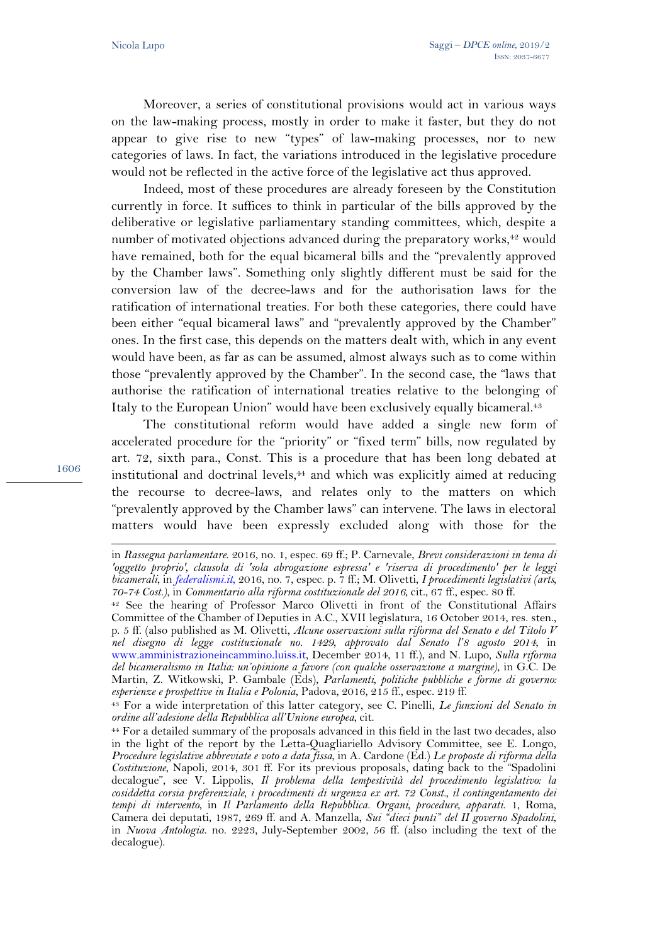Moreover, a series of constitutional provisions would act in various ways on the law-making process, mostly in order to make it faster, but they do not appear to give rise to new "types" of law-making processes, nor to new categories of laws. In fact, the variations introduced in the legislative procedure would not be reflected in the active force of the legislative act thus approved.

Indeed, most of these procedures are already foreseen by the Constitution currently in force. It suffices to think in particular of the bills approved by the deliberative or legislative parliamentary standing committees, which, despite a number of motivated objections advanced during the preparatory works,<sup>42</sup> would have remained, both for the equal bicameral bills and the "prevalently approved by the Chamber laws". Something only slightly different must be said for the conversion law of the decree-laws and for the authorisation laws for the ratification of international treaties. For both these categories, there could have been either "equal bicameral laws" and "prevalently approved by the Chamber" ones. In the first case, this depends on the matters dealt with, which in any event would have been, as far as can be assumed, almost always such as to come within those "prevalently approved by the Chamber". In the second case, the "laws that authorise the ratification of international treaties relative to the belonging of Italy to the European Union" would have been exclusively equally bicameral.43

The constitutional reform would have added a single new form of accelerated procedure for the "priority" or "fixed term" bills, now regulated by art. 72, sixth para., Const. This is a procedure that has been long debated at institutional and doctrinal levels, $44$  and which was explicitly aimed at reducing the recourse to decree-laws, and relates only to the matters on which "prevalently approved by the Chamber laws" can intervene. The laws in electoral matters would have been expressly excluded along with those for the

1606

 $\overline{a}$ 

in *Rassegna parlamentare*. 2016, no. 1, espec. 69 ff.; P. Carnevale, *Brevi considerazioni in tema di 'oggetto proprio', clausola di 'sola abrogazione espressa' e 'riserva di procedimento' per le leggi bicamerali*, in *federalismi.it*, 2016, no. 7, espec. p. 7 ff.; M. Olivetti, *I procedimenti legislativi (arts,* 

*<sup>70-74</sup> Cost.)*, in *Commentario alla riforma costituzionale del 2016*, cit., 67 ff., espec. 80 ff. 42 See the hearing of Professor Marco Olivetti in front of the Constitutional Affairs Committee of the Chamber of Deputies in A.C., XVII legislatura, 16 October 2014, res. sten., p. 5 ff. (also published as M. Olivetti, *Alcune osservazioni sulla riforma del Senato e del Titolo V nel disegno di legge costituzionale no. 1429, approvato dal Senato l'8 agosto 2014*, in www.amministrazioneincammino.luiss.it, December 2014, 11 ff.), and N. Lupo, *Sulla riforma del bicameralismo in Italia: un'opinione a favore (con qualche osservazione a margine)*, in G.C. De Martin, Z. Witkowski, P. Gambale (Eds), *Parlamenti, politiche pubbliche e forme di governo: esperienze e prospettive in Italia e Polonia*, Padova, 2016, 215 ff., espec. 219 ff.

<sup>43</sup> For a wide interpretation of this latter category, see C. Pinelli, *Le funzioni del Senato in ordine all'adesione della Repubblica all'Unione europea*, cit.

<sup>44</sup> For a detailed summary of the proposals advanced in this field in the last two decades, also in the light of the report by the Letta-Quagliariello Advisory Committee, see E. Longo, *Procedure legislative abbreviate e voto a data fissa*, in A. Cardone (Ed.) *Le proposte di riforma della Costituzione*, Napoli, 2014, 301 ff. For its previous proposals, dating back to the "Spadolini decalogue", see V. Lippolis, *Il problema della tempestività del procedimento legislativo: la cosiddetta corsia preferenziale, i procedimenti di urgenza ex art. 72 Const., il contingentamento dei tempi di intervento*, in *Il Parlamento della Repubblica. Organi, procedure, apparati*. 1, Roma, Camera dei deputati, 1987, 269 ff. and A. Manzella, *Sui "dieci punti" del II governo Spadolini*, in *Nuova Antologia*. no. 2223, July-September 2002, 56 ff. (also including the text of the decalogue).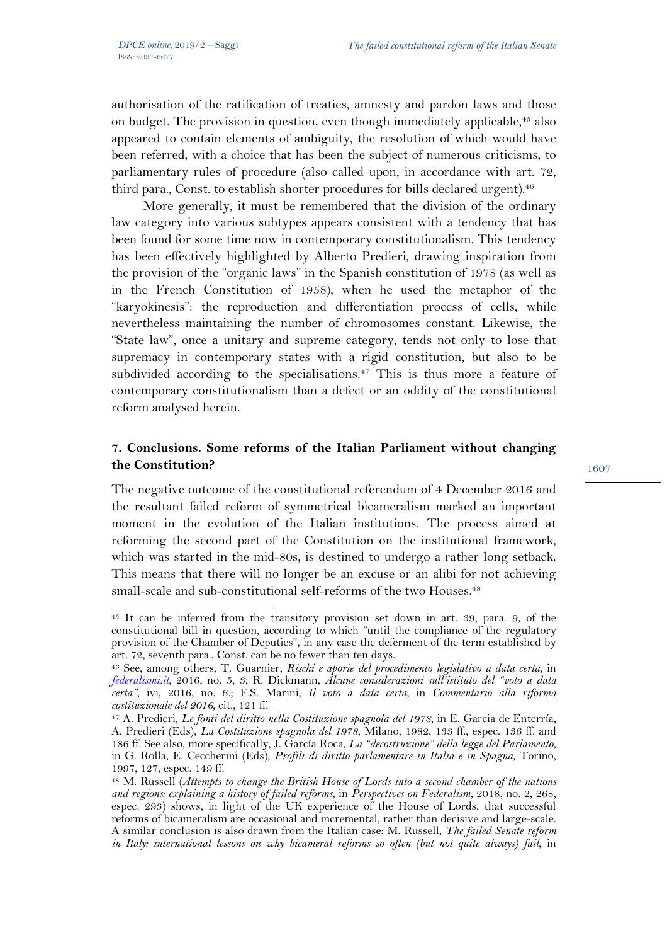$\overline{a}$ 

authorisation of the ratification of treaties, amnesty and pardon laws and those on budget. The provision in question, even though immediately applicable, $45$  also appeared to contain elements of ambiguity, the resolution of which would have been referred, with a choice that has been the subject of numerous criticisms, to parliamentary rules of procedure (also called upon, in accordance with art. 72, third para., Const. to establish shorter procedures for bills declared urgent).<sup>46</sup>

More generally, it must be remembered that the division of the ordinary law category into various subtypes appears consistent with a tendency that has been found for some time now in contemporary constitutionalism. This tendency has been effectively highlighted by Alberto Predieri, drawing inspiration from the provision of the "organic laws" in the Spanish constitution of 1978 (as well as in the French Constitution of 1958), when he used the metaphor of the "karyokinesis": the reproduction and differentiation process of cells, while nevertheless maintaining the number of chromosomes constant. Likewise, the "State law", once a unitary and supreme category, tends not only to lose that supremacy in contemporary states with a rigid constitution, but also to be subdivided according to the specialisations.<sup>47</sup> This is thus more a feature of contemporary constitutionalism than a defect or an oddity of the constitutional reform analysed herein.

## **7. Conclusions. Some reforms of the Italian Parliament without changing the Constitution?**

The negative outcome of the constitutional referendum of 4 December 2016 and the resultant failed reform of symmetrical bicameralism marked an important moment in the evolution of the Italian institutions. The process aimed at reforming the second part of the Constitution on the institutional framework, which was started in the mid-80s, is destined to undergo a rather long setback. This means that there will no longer be an excuse or an alibi for not achieving small-scale and sub-constitutional self-reforms of the two Houses.<sup>48</sup>

<sup>45</sup> It can be inferred from the transitory provision set down in art. 39, para. 9, of the constitutional bill in question, according to which "until the compliance of the regulatory provision of the Chamber of Deputies", in any case the deferment of the term established by art. 72, seventh para., Const. can be no fewer than ten days.

<sup>46</sup> See, among others, T. Guarnier, *Rischi e aporie del procedimento legislativo a data certa*, in *federalismi.it*, 2016, no. 5, 3; R. Dickmann, *Alcune considerazioni sull'istituto del "voto a data certa"*, ivi, 2016, no. 6.; F.S. Marini, *Il voto a data certa*, in *Commentario alla riforma costituzionale del 2016*, cit., 121 ff.

<sup>47</sup> A. Predieri, *Le fonti del diritto nella Costituzione spagnola del 1978*, in E. Garcia de Enterría, A. Predieri (Eds), *La Costituzione spagnola del 1978*, Milano, 1982, 133 ff., espec. 136 ff. and 186 ff. See also, more specifically, J. García Roca, *La "decostruzione" della legge del Parlamento*, in G. Rolla, E. Ceccherini (Eds), *Profili di diritto parlamentare in Italia e in Spagna*, Torino, 1997, 127, espec. 149 ff.

<sup>48</sup> M. Russell (*Attempts to change the British House of Lords into a second chamber of the nations and regions: explaining a history of failed reforms*, in *Perspectives on Federalism*, 2018, no. 2, 268, espec. 293) shows, in light of the UK experience of the House of Lords, that successful reforms of bicameralism are occasional and incremental, rather than decisive and large-scale. A similar conclusion is also drawn from the Italian case: M. Russell, *The failed Senate reform in Italy: international lessons on why bicameral reforms so often (but not quite always) fail*, in